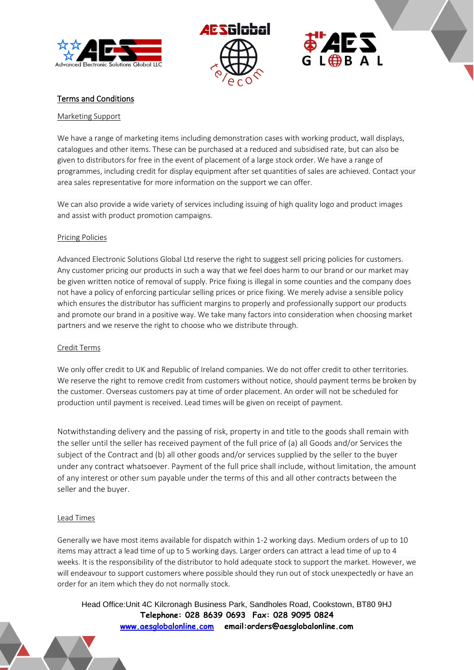



L**OBB**AL

# Terms and Conditions

#### Marketing Support

We have a range of marketing items including demonstration cases with working product, wall displays, catalogues and other items. These can be purchased at a reduced and subsidised rate, but can also be given to distributors for free in the event of placement of a large stock order. We have a range of programmes, including credit for display equipment after set quantities of sales are achieved. Contact your area sales representative for more information on the support we can offer.

We can also provide a wide variety of services including issuing of high quality logo and product images and assist with product promotion campaigns.

#### Pricing Policies

Advanced Electronic Solutions Global Ltd reserve the right to suggest sell pricing policies for customers. Any customer pricing our products in such a way that we feel does harm to our brand or our market may be given written notice of removal of supply. Price fixing is illegal in some counties and the company does not have a policy of enforcing particular selling prices or price fixing. We merely advise a sensible policy which ensures the distributor has sufficient margins to properly and professionally support our products and promote our brand in a positive way. We take many factors into consideration when choosing market partners and we reserve the right to choose who we distribute through.

# Credit Terms

We only offer credit to UK and Republic of Ireland companies. We do not offer credit to other territories. We reserve the right to remove credit from customers without notice, should payment terms be broken by the customer. Overseas customers pay at time of order placement. An order will not be scheduled for production until payment is received. Lead times will be given on receipt of payment.

Notwithstanding delivery and the passing of risk, property in and title to the goods shall remain with the seller until the seller has received payment of the full price of (a) all Goods and/or Services the subject of the Contract and (b) all other goods and/or services supplied by the seller to the buyer under any contract whatsoever. Payment of the full price shall include, without limitation, the amount of any interest or other sum payable under the terms of this and all other contracts between the seller and the buyer.

#### Lead Times

Generally we have most items available for dispatch within 1-2 working days. Medium orders of up to 10 items may attract a lead time of up to 5 working days. Larger orders can attract a lead time of up to 4 weeks. It is the responsibility of the distributor to hold adequate stock to support the market. However, we will endeavour to support customers where possible should they run out of stock unexpectedly or have an order for an item which they do not normally stock.

Head Office:Unit 4C Kilcronagh Business Park, Sandholes Road, Cookstown, BT80 9HJ **Telephone: 028 8639 0693 Fax: 028 9095 0824 [www.aesglobalonline.com](http://www.aesglobalonline.com/) email:orders@aesglobalonline.com**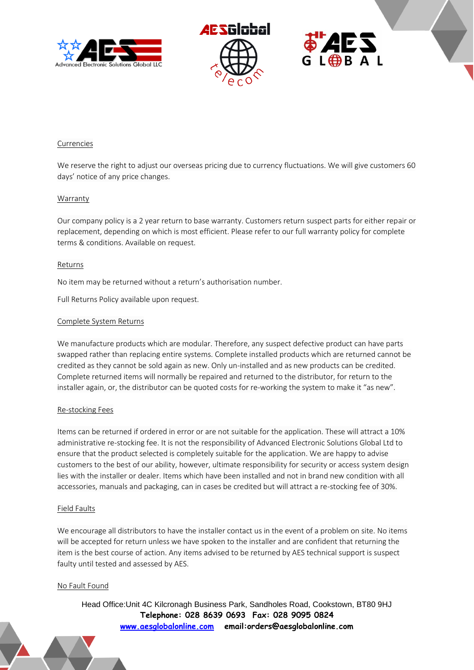



# $L \bigoplus B$  A L

# Currencies

We reserve the right to adjust our overseas pricing due to currency fluctuations. We will give customers 60 days' notice of any price changes.

# Warranty

Our company policy is a 2 year return to base warranty. Customers return suspect parts for either repair or replacement, depending on which is most efficient. Please refer to our full warranty policy for complete terms & conditions. Available on request.

#### Returns

No item may be returned without a return's authorisation number.

Full Returns Policy available upon request.

#### Complete System Returns

We manufacture products which are modular. Therefore, any suspect defective product can have parts swapped rather than replacing entire systems. Complete installed products which are returned cannot be credited as they cannot be sold again as new. Only un-installed and as new products can be credited. Complete returned items will normally be repaired and returned to the distributor, for return to the installer again, or, the distributor can be quoted costs for re-working the system to make it "as new".

# Re-stocking Fees

Items can be returned if ordered in error or are not suitable for the application. These will attract a 10% administrative re-stocking fee. It is not the responsibility of Advanced Electronic Solutions Global Ltd to ensure that the product selected is completely suitable for the application. We are happy to advise customers to the best of our ability, however, ultimate responsibility for security or access system design lies with the installer or dealer. Items which have been installed and not in brand new condition with all accessories, manuals and packaging, can in cases be credited but will attract a re-stocking fee of 30%.

# Field Faults

We encourage all distributors to have the installer contact us in the event of a problem on site. No items will be accepted for return unless we have spoken to the installer and are confident that returning the item is the best course of action. Any items advised to be returned by AES technical support is suspect faulty until tested and assessed by AES.

# No Fault Found

Head Office:Unit 4C Kilcronagh Business Park, Sandholes Road, Cookstown, BT80 9HJ **Telephone: 028 8639 0693 Fax: 028 9095 0824 [www.aesglobalonline.com](http://www.aesglobalonline.com/) email:orders@aesglobalonline.com**